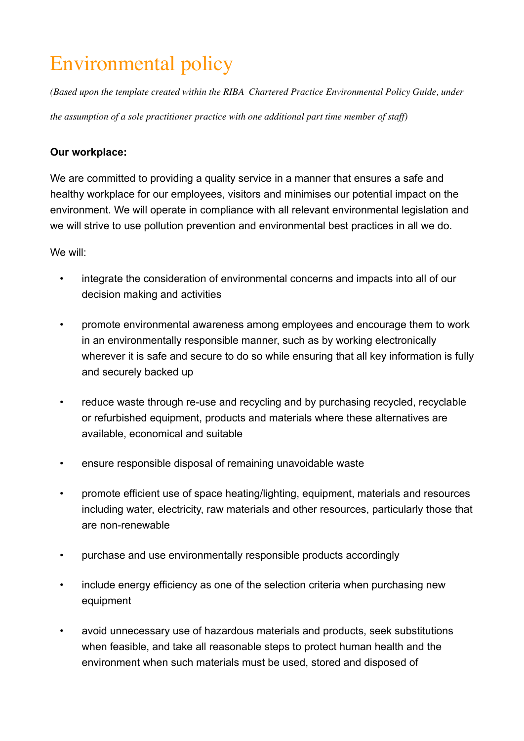## Environmental policy

*(Based upon the template created within the RIBA Chartered Practice Environmental Policy Guide, under* 

*the assumption of a sole practitioner practice with one additional part time member of staff)*

## **Our workplace:**

We are committed to providing a quality service in a manner that ensures a safe and healthy workplace for our employees, visitors and minimises our potential impact on the environment. We will operate in compliance with all relevant environmental legislation and we will strive to use pollution prevention and environmental best practices in all we do.

We will:

- integrate the consideration of environmental concerns and impacts into all of our decision making and activities
- promote environmental awareness among employees and encourage them to work in an environmentally responsible manner, such as by working electronically wherever it is safe and secure to do so while ensuring that all key information is fully and securely backed up
- reduce waste through re-use and recycling and by purchasing recycled, recyclable or refurbished equipment, products and materials where these alternatives are available, economical and suitable
- ensure responsible disposal of remaining unavoidable waste
- promote efficient use of space heating/lighting, equipment, materials and resources including water, electricity, raw materials and other resources, particularly those that are non-renewable
- purchase and use environmentally responsible products accordingly
- include energy efficiency as one of the selection criteria when purchasing new equipment
- avoid unnecessary use of hazardous materials and products, seek substitutions when feasible, and take all reasonable steps to protect human health and the environment when such materials must be used, stored and disposed of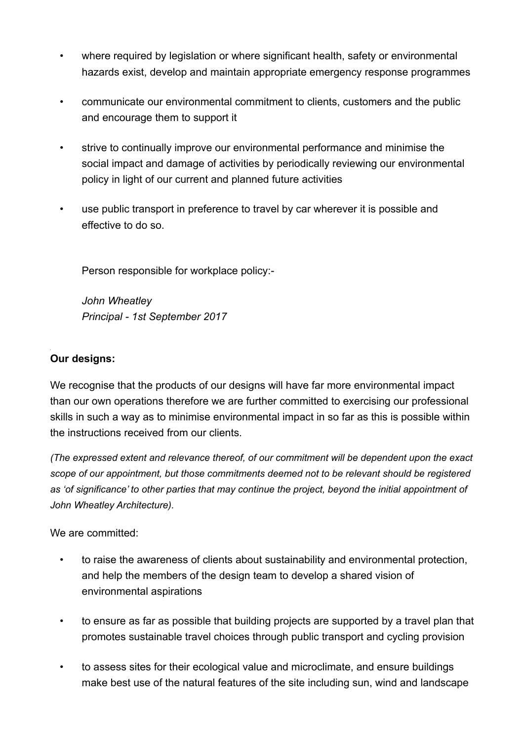- where required by legislation or where significant health, safety or environmental hazards exist, develop and maintain appropriate emergency response programmes
- communicate our environmental commitment to clients, customers and the public and encourage them to support it
- strive to continually improve our environmental performance and minimise the social impact and damage of activities by periodically reviewing our environmental policy in light of our current and planned future activities
- use public transport in preference to travel by car wherever it is possible and effective to do so.

Person responsible for workplace policy:-

 *John Wheatley Principal - 1st September 2017* 

## **Our designs:**

We recognise that the products of our designs will have far more environmental impact than our own operations therefore we are further committed to exercising our professional skills in such a way as to minimise environmental impact in so far as this is possible within the instructions received from our clients.

*(The expressed extent and relevance thereof, of our commitment will be dependent upon the exact scope of our appointment, but those commitments deemed not to be relevant should be registered as 'of significance' to other parties that may continue the project, beyond the initial appointment of John Wheatley Architecture).*

We are committed:

- to raise the awareness of clients about sustainability and environmental protection, and help the members of the design team to develop a shared vision of environmental aspirations
- to ensure as far as possible that building projects are supported by a travel plan that promotes sustainable travel choices through public transport and cycling provision
- to assess sites for their ecological value and microclimate, and ensure buildings make best use of the natural features of the site including sun, wind and landscape